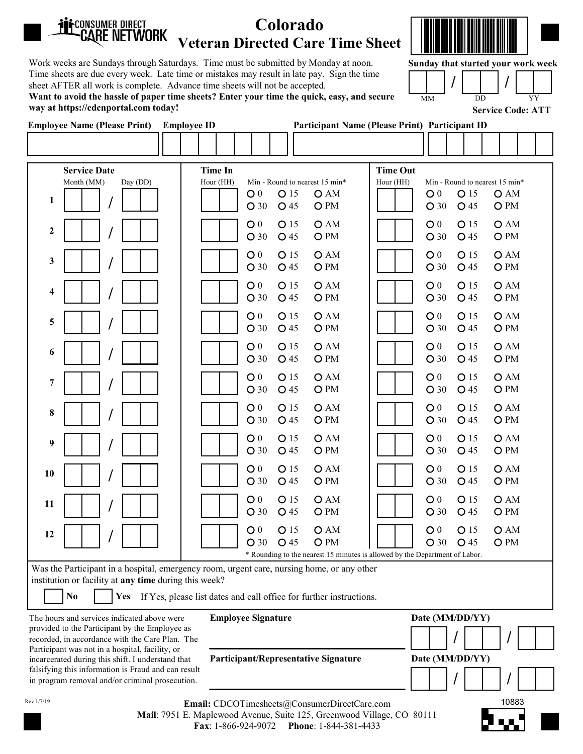| <b>ii:</b> Consumer direct<br>CARE NETWORK                                                                                                                                                                                                                                                                                                                                                                                                                                                                                                  | Colorado<br><b>Veteran Directed Care Time Sheet</b>                                                                                                                                                                                                                                                                                                                                                                                                                                                                                                                                                        |                                                                                                                                                                                                                                                                                                                                                                                                                                                                                                                                                     |
|---------------------------------------------------------------------------------------------------------------------------------------------------------------------------------------------------------------------------------------------------------------------------------------------------------------------------------------------------------------------------------------------------------------------------------------------------------------------------------------------------------------------------------------------|------------------------------------------------------------------------------------------------------------------------------------------------------------------------------------------------------------------------------------------------------------------------------------------------------------------------------------------------------------------------------------------------------------------------------------------------------------------------------------------------------------------------------------------------------------------------------------------------------------|-----------------------------------------------------------------------------------------------------------------------------------------------------------------------------------------------------------------------------------------------------------------------------------------------------------------------------------------------------------------------------------------------------------------------------------------------------------------------------------------------------------------------------------------------------|
| Work weeks are Sundays through Saturdays. Time must be submitted by Monday at noon.<br>Time sheets are due every week. Late time or mistakes may result in late pay. Sign the time<br>sheet AFTER all work is complete. Advance time sheets will not be accepted.<br>Want to avoid the hassle of paper time sheets? Enter your time the quick, easy, and secure<br>way at https://cdcnportal.com today!                                                                                                                                     |                                                                                                                                                                                                                                                                                                                                                                                                                                                                                                                                                                                                            | Sunday that started your work week<br>MM<br><b>DD</b><br>YY<br><b>Service Code: ATT</b>                                                                                                                                                                                                                                                                                                                                                                                                                                                             |
| <b>Employee Name (Please Print)</b> Employee ID                                                                                                                                                                                                                                                                                                                                                                                                                                                                                             |                                                                                                                                                                                                                                                                                                                                                                                                                                                                                                                                                                                                            | <b>Participant Name (Please Print) Participant ID</b>                                                                                                                                                                                                                                                                                                                                                                                                                                                                                               |
|                                                                                                                                                                                                                                                                                                                                                                                                                                                                                                                                             |                                                                                                                                                                                                                                                                                                                                                                                                                                                                                                                                                                                                            |                                                                                                                                                                                                                                                                                                                                                                                                                                                                                                                                                     |
| Month (MM)<br>Day (DD)<br>1<br>$\mathbf{2}$<br>3<br>$\overline{\mathbf{4}}$<br>5<br>6<br>7<br>8                                                                                                                                                                                                                                                                                                                                                                                                                                             | Hour (HH)<br>Min - Round to nearest 15 min*<br>O 15<br>$\bigcirc$ 0<br>O AM<br>O PM<br>O <sub>30</sub><br>O 45<br>O 15<br>O AM<br>$\mathbf{O}$ 0<br>O 45<br>O PM<br>$O$ 30<br>O AM<br>O <sub>0</sub><br>O 15<br>O 45<br>O PM<br>O <sub>30</sub><br>O AM<br>O <sub>0</sub><br>O 15<br>O <sub>PM</sub><br>$O$ 30<br>O 45<br>O AM<br>$\bigcirc$ 0<br>O 15<br>O <sub>PM</sub><br>O 45<br>$O$ 30<br>O AM<br>$\bigcirc$ 0<br>O 15<br>O <sub>PM</sub><br>O 45<br>O <sub>30</sub><br>O AM<br>O <sub>0</sub><br>O 15<br>O 45<br>O PM<br>$O$ 30<br>$\bigcirc$ 0<br>O 15<br>O AM<br>O <sub>PM</sub><br>$O$ 30<br>O 45 | Hour (HH)<br>Min - Round to nearest 15 min*<br>O <sub>0</sub><br>O 15<br>O AM<br>O PM<br>O <sub>30</sub><br>O 45<br>O 15<br>OAM<br>$\bigcirc$ 0<br>O <sub>30</sub><br>O 45<br>O PM<br>O 15<br>OAM<br>$\bigcirc$ 0<br>O PM<br>$O$ 30<br>O 45<br>OAM<br>$\bigcirc$ 0<br>O 15<br>O PM<br>$O$ 30<br>O 45<br>O 15<br>O <sub>0</sub><br>OAM<br>O PM<br>$O$ 30<br>O 45<br>$\bigcirc$ 0<br>O 15<br>OAM<br>O 45<br>O PM<br>$O$ 30<br>OAM<br>$\bigcirc$ 0<br>O 15<br>O PM<br>O <sub>30</sub><br>O 45<br>O 15<br>OAM<br>$\bigcirc$ 0<br>$O$ 30<br>O 45<br>O PM |
| 9<br>10                                                                                                                                                                                                                                                                                                                                                                                                                                                                                                                                     | O <sub>15</sub><br>$\mathsf{O}~0$<br>O AM<br>O <sub>30</sub><br>O 45<br>O PM<br>O AM<br>O <sub>0</sub><br>O 15<br>$O$ 30<br>O 45<br>O PM                                                                                                                                                                                                                                                                                                                                                                                                                                                                   | $\mathsf{O}~0$<br>O <sub>15</sub><br>O AM<br>O <sub>30</sub><br>O 45<br>O PM<br>$\mathbf{O}$ $\mathbf{0}$<br>O 15<br>OAM<br>$O$ 30<br>O 45<br>O PM                                                                                                                                                                                                                                                                                                                                                                                                  |
| 11<br>12                                                                                                                                                                                                                                                                                                                                                                                                                                                                                                                                    | OAM<br>O <sub>0</sub><br>O 15<br>O <sub>PM</sub><br>$O$ 30<br>O 45<br>O AM<br>O <sub>0</sub><br>O 15<br>O PM<br>O <sub>30</sub><br>O 45                                                                                                                                                                                                                                                                                                                                                                                                                                                                    | O <sub>0</sub><br>O 15<br>OAM<br>O <sub>PM</sub><br>$O$ 30<br>O 45<br>O <sub>0</sub><br>O 15<br>OAM<br>$O$ 30<br>O 45<br>O PM                                                                                                                                                                                                                                                                                                                                                                                                                       |
| Was the Participant in a hospital, emergency room, urgent care, nursing home, or any other<br>institution or facility at any time during this week?<br>N <sub>0</sub><br>The hours and services indicated above were<br>provided to the Participant by the Employee as<br>recorded, in accordance with the Care Plan. The<br>Participant was not in a hospital, facility, or<br>incarcerated during this shift. I understand that<br>falsifying this information is Fraud and can result<br>in program removal and/or criminal prosecution. | * Rounding to the nearest 15 minutes is allowed by the Department of Labor.<br>Yes If Yes, please list dates and call office for further instructions.<br><b>Employee Signature</b><br>Participant/Representative Signature                                                                                                                                                                                                                                                                                                                                                                                | Date (MM/DD/YY)<br>Date (MM/DD/YY)                                                                                                                                                                                                                                                                                                                                                                                                                                                                                                                  |
| Rev 1/7/19                                                                                                                                                                                                                                                                                                                                                                                                                                                                                                                                  | Email: CDCOTimesheets@ConsumerDirectCare.com<br>Mail: 7951 E. Maplewood Avenue, Suite 125, Greenwood Village, CO 80111<br>Phone: 1-844-381-4433<br>Fax: 1-866-924-9072                                                                                                                                                                                                                                                                                                                                                                                                                                     | 10883                                                                                                                                                                                                                                                                                                                                                                                                                                                                                                                                               |

Mail: 7951 E. Maplewood Avenue, Suite 125, Greenwood Village, CO 80111 Fax: 1-866-924-9072 Phone: 1-844-381-4433